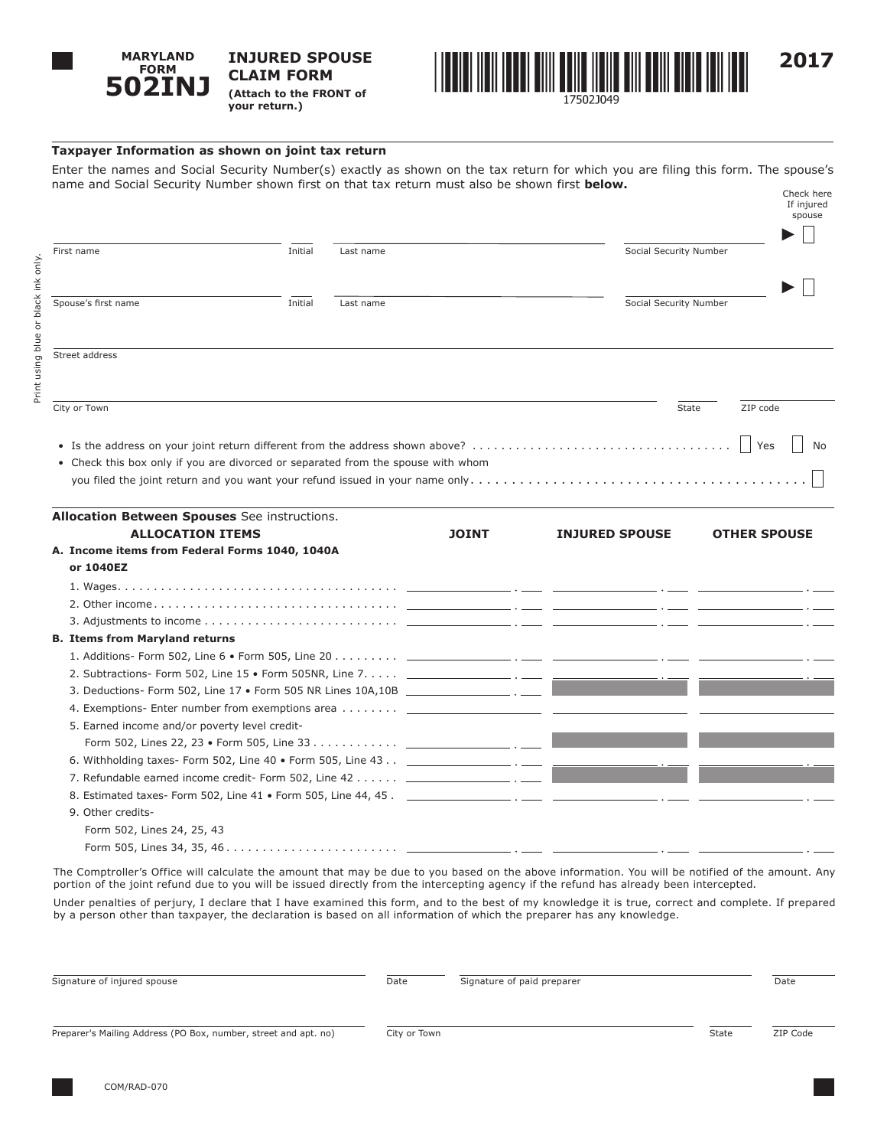

**INJURED SPOUSE CLAIM FORM (Attach to the FRONT of your return.)**



## **Taxpayer Information as shown on joint tax return**

Enter the names and Social Security Number(s) exactly as shown on the tax return for which you are filing this form. The spouse's name and Social Security Number shown first on that tax return must also be shown first **below.** Check here

|                                                                                             |                      |  |              |                       | If injured<br>spouse   |  |
|---------------------------------------------------------------------------------------------|----------------------|--|--------------|-----------------------|------------------------|--|
| First name                                                                                  | Initial<br>Last name |  |              |                       | Social Security Number |  |
|                                                                                             |                      |  |              |                       |                        |  |
| Spouse's first name                                                                         | Initial<br>Last name |  |              |                       | Social Security Number |  |
|                                                                                             |                      |  |              |                       |                        |  |
| Street address                                                                              |                      |  |              |                       |                        |  |
|                                                                                             |                      |  |              |                       |                        |  |
| City or Town                                                                                |                      |  |              |                       | ZIP code<br>State      |  |
|                                                                                             |                      |  |              |                       | Yes<br>No              |  |
| • Check this box only if you are divorced or separated from the spouse with whom            |                      |  |              |                       |                        |  |
|                                                                                             |                      |  |              |                       |                        |  |
| Allocation Between Spouses See instructions.                                                |                      |  |              |                       |                        |  |
| <b>ALLOCATION ITEMS</b>                                                                     |                      |  | <b>JOINT</b> | <b>INJURED SPOUSE</b> | <b>OTHER SPOUSE</b>    |  |
| A. Income items from Federal Forms 1040, 1040A                                              |                      |  |              |                       |                        |  |
| or 1040EZ                                                                                   |                      |  |              |                       |                        |  |
|                                                                                             |                      |  |              |                       |                        |  |
|                                                                                             |                      |  |              |                       |                        |  |
|                                                                                             |                      |  |              |                       |                        |  |
| <b>B. Items from Maryland returns</b>                                                       |                      |  |              |                       |                        |  |
|                                                                                             |                      |  |              |                       |                        |  |
| 2. Subtractions- Form 502, Line 15 • Form 505NR, Line 7. ________________ . ____ ___        |                      |  |              |                       |                        |  |
|                                                                                             |                      |  |              |                       |                        |  |
|                                                                                             |                      |  |              |                       |                        |  |
| 5. Earned income and/or poverty level credit-                                               |                      |  |              |                       |                        |  |
|                                                                                             |                      |  |              |                       |                        |  |
|                                                                                             |                      |  |              |                       |                        |  |
| 7. Refundable earned income credit- Form 502, Line $42$ $\ldots$ $\ldots$ $\ldots$ $\ldots$ |                      |  |              |                       |                        |  |
|                                                                                             |                      |  |              |                       |                        |  |
| 9. Other credits-                                                                           |                      |  |              |                       |                        |  |

Form 502, Lines 24, 25, 43 Form 505, Lines 34, 35, 46. .

The Comptroller's Office will calculate the amount that may be due to you based on the above information. You will be notified of the amount. Any portion of the joint refund due to you will be issued directly from the intercepting agency if the refund has already been intercepted.

Under penalties of perjury, I declare that I have examined this form, and to the best of my knowledge it is true, correct and complete. If prepared by a person other than taxpayer, the declaration is based on all information of which the preparer has any knowledge.

| Signature of injured spouse                                     | Date         | Signature of paid preparer |       | Date     |
|-----------------------------------------------------------------|--------------|----------------------------|-------|----------|
| Preparer's Mailing Address (PO Box, number, street and apt. no) | City or Town |                            | State | ZIP Code |